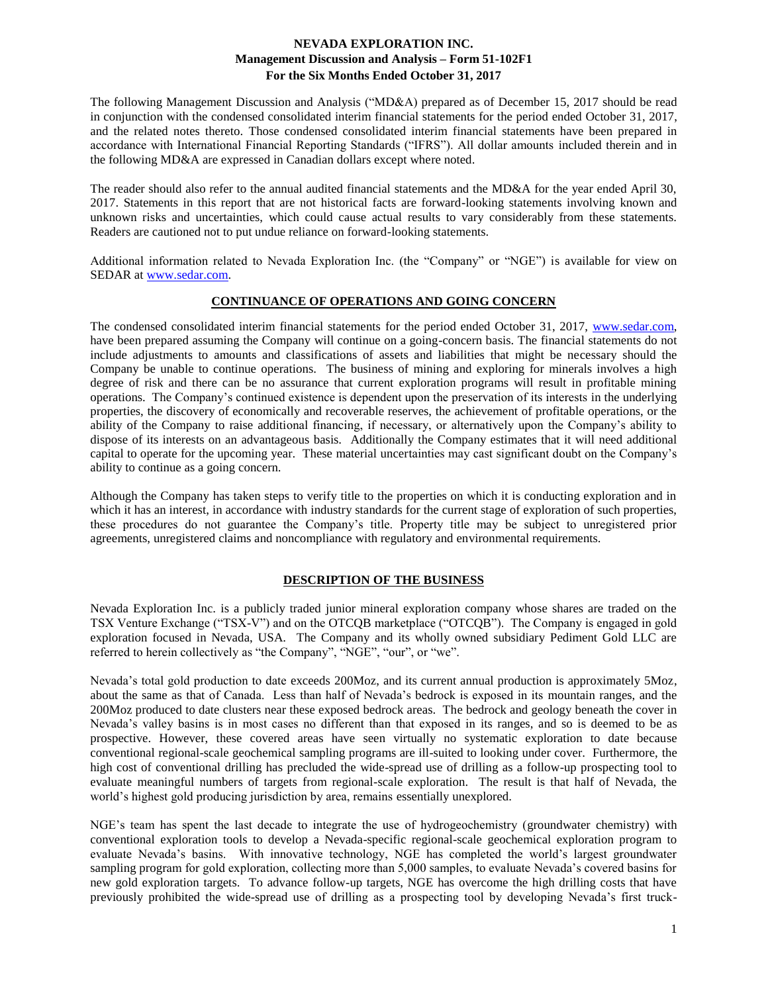The following Management Discussion and Analysis ("MD&A) prepared as of December 15, 2017 should be read in conjunction with the condensed consolidated interim financial statements for the period ended October 31, 2017, and the related notes thereto. Those condensed consolidated interim financial statements have been prepared in accordance with International Financial Reporting Standards ("IFRS"). All dollar amounts included therein and in the following MD&A are expressed in Canadian dollars except where noted.

The reader should also refer to the annual audited financial statements and the MD&A for the year ended April 30, 2017. Statements in this report that are not historical facts are forward-looking statements involving known and unknown risks and uncertainties, which could cause actual results to vary considerably from these statements. Readers are cautioned not to put undue reliance on forward-looking statements.

Additional information related to Nevada Exploration Inc. (the "Company" or "NGE") is available for view on SEDAR at [www.sedar.com.](http://www.sedar.com/)

## **CONTINUANCE OF OPERATIONS AND GOING CONCERN**

The condensed consolidated interim financial statements for the period ended October 31, 2017, [www.sedar.com,](http://www.sedar.com/) have been prepared assuming the Company will continue on a going-concern basis. The financial statements do not include adjustments to amounts and classifications of assets and liabilities that might be necessary should the Company be unable to continue operations. The business of mining and exploring for minerals involves a high degree of risk and there can be no assurance that current exploration programs will result in profitable mining operations. The Company's continued existence is dependent upon the preservation of its interests in the underlying properties, the discovery of economically and recoverable reserves, the achievement of profitable operations, or the ability of the Company to raise additional financing, if necessary, or alternatively upon the Company's ability to dispose of its interests on an advantageous basis. Additionally the Company estimates that it will need additional capital to operate for the upcoming year. These material uncertainties may cast significant doubt on the Company's ability to continue as a going concern.

Although the Company has taken steps to verify title to the properties on which it is conducting exploration and in which it has an interest, in accordance with industry standards for the current stage of exploration of such properties, these procedures do not guarantee the Company's title. Property title may be subject to unregistered prior agreements, unregistered claims and noncompliance with regulatory and environmental requirements.

## **DESCRIPTION OF THE BUSINESS**

Nevada Exploration Inc. is a publicly traded junior mineral exploration company whose shares are traded on the TSX Venture Exchange ("TSX-V") and on the OTCQB marketplace ("OTCQB"). The Company is engaged in gold exploration focused in Nevada, USA. The Company and its wholly owned subsidiary Pediment Gold LLC are referred to herein collectively as "the Company", "NGE", "our", or "we".

Nevada's total gold production to date exceeds 200Moz, and its current annual production is approximately 5Moz, about the same as that of Canada. Less than half of Nevada's bedrock is exposed in its mountain ranges, and the 200Moz produced to date clusters near these exposed bedrock areas. The bedrock and geology beneath the cover in Nevada's valley basins is in most cases no different than that exposed in its ranges, and so is deemed to be as prospective. However, these covered areas have seen virtually no systematic exploration to date because conventional regional-scale geochemical sampling programs are ill-suited to looking under cover. Furthermore, the high cost of conventional drilling has precluded the wide-spread use of drilling as a follow-up prospecting tool to evaluate meaningful numbers of targets from regional-scale exploration. The result is that half of Nevada, the world's highest gold producing jurisdiction by area, remains essentially unexplored.

NGE's team has spent the last decade to integrate the use of hydrogeochemistry (groundwater chemistry) with conventional exploration tools to develop a Nevada-specific regional-scale geochemical exploration program to evaluate Nevada's basins. With innovative technology, NGE has completed the world's largest groundwater sampling program for gold exploration, collecting more than 5,000 samples, to evaluate Nevada's covered basins for new gold exploration targets. To advance follow-up targets, NGE has overcome the high drilling costs that have previously prohibited the wide-spread use of drilling as a prospecting tool by developing Nevada's first truck-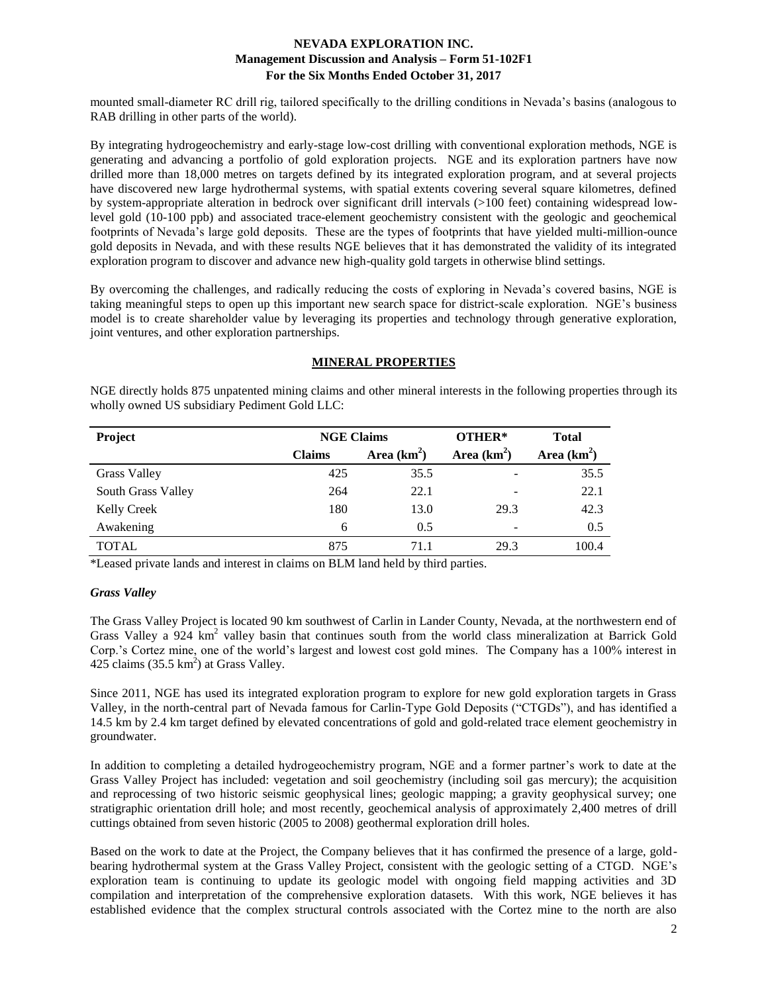mounted small-diameter RC drill rig, tailored specifically to the drilling conditions in Nevada's basins (analogous to RAB drilling in other parts of the world).

By integrating hydrogeochemistry and early-stage low-cost drilling with conventional exploration methods, NGE is generating and advancing a portfolio of gold exploration projects. NGE and its exploration partners have now drilled more than 18,000 metres on targets defined by its integrated exploration program, and at several projects have discovered new large hydrothermal systems, with spatial extents covering several square kilometres, defined by system-appropriate alteration in bedrock over significant drill intervals (>100 feet) containing widespread lowlevel gold (10-100 ppb) and associated trace-element geochemistry consistent with the geologic and geochemical footprints of Nevada's large gold deposits. These are the types of footprints that have yielded multi-million-ounce gold deposits in Nevada, and with these results NGE believes that it has demonstrated the validity of its integrated exploration program to discover and advance new high-quality gold targets in otherwise blind settings.

By overcoming the challenges, and radically reducing the costs of exploring in Nevada's covered basins, NGE is taking meaningful steps to open up this important new search space for district-scale exploration. NGE's business model is to create shareholder value by leveraging its properties and technology through generative exploration, joint ventures, and other exploration partnerships.

## **MINERAL PROPERTIES**

NGE directly holds 875 unpatented mining claims and other mineral interests in the following properties through its wholly owned US subsidiary Pediment Gold LLC:

| <b>Project</b>      | <b>NGE Claims</b> |                                | OTHER* | <b>Total</b>  |  |
|---------------------|-------------------|--------------------------------|--------|---------------|--|
|                     | <b>Claims</b>     | Area $(km^2)$<br>Area $(km^2)$ |        | Area $(km^2)$ |  |
| <b>Grass Valley</b> | 425               | 35.5                           |        | 35.5          |  |
| South Grass Valley  | 264               | 22.1                           | -      | 22.1          |  |
| Kelly Creek         | 180               | 13.0                           | 29.3   | 42.3          |  |
| Awakening           | 6                 | 0.5                            |        | 0.5           |  |
| <b>TOTAL</b>        | 875               | 71.1                           | 29.3   | 100.4         |  |

\*Leased private lands and interest in claims on BLM land held by third parties.

### *Grass Valley*

The Grass Valley Project is located 90 km southwest of Carlin in Lander County, Nevada, at the northwestern end of Grass Valley a 924 km<sup>2</sup> valley basin that continues south from the world class mineralization at Barrick Gold Corp.'s Cortez mine, one of the world's largest and lowest cost gold mines. The Company has a 100% interest in  $425$  claims (35.5 km<sup>2</sup>) at Grass Valley.

Since 2011, NGE has used its integrated exploration program to explore for new gold exploration targets in Grass Valley, in the north-central part of Nevada famous for Carlin-Type Gold Deposits ("CTGDs"), and has identified a 14.5 km by 2.4 km target defined by elevated concentrations of gold and gold-related trace element geochemistry in groundwater.

In addition to completing a detailed hydrogeochemistry program, NGE and a former partner's work to date at the Grass Valley Project has included: vegetation and soil geochemistry (including soil gas mercury); the acquisition and reprocessing of two historic seismic geophysical lines; geologic mapping; a gravity geophysical survey; one stratigraphic orientation drill hole; and most recently, geochemical analysis of approximately 2,400 metres of drill cuttings obtained from seven historic (2005 to 2008) geothermal exploration drill holes.

Based on the work to date at the Project, the Company believes that it has confirmed the presence of a large, goldbearing hydrothermal system at the Grass Valley Project, consistent with the geologic setting of a CTGD. NGE's exploration team is continuing to update its geologic model with ongoing field mapping activities and 3D compilation and interpretation of the comprehensive exploration datasets. With this work, NGE believes it has established evidence that the complex structural controls associated with the Cortez mine to the north are also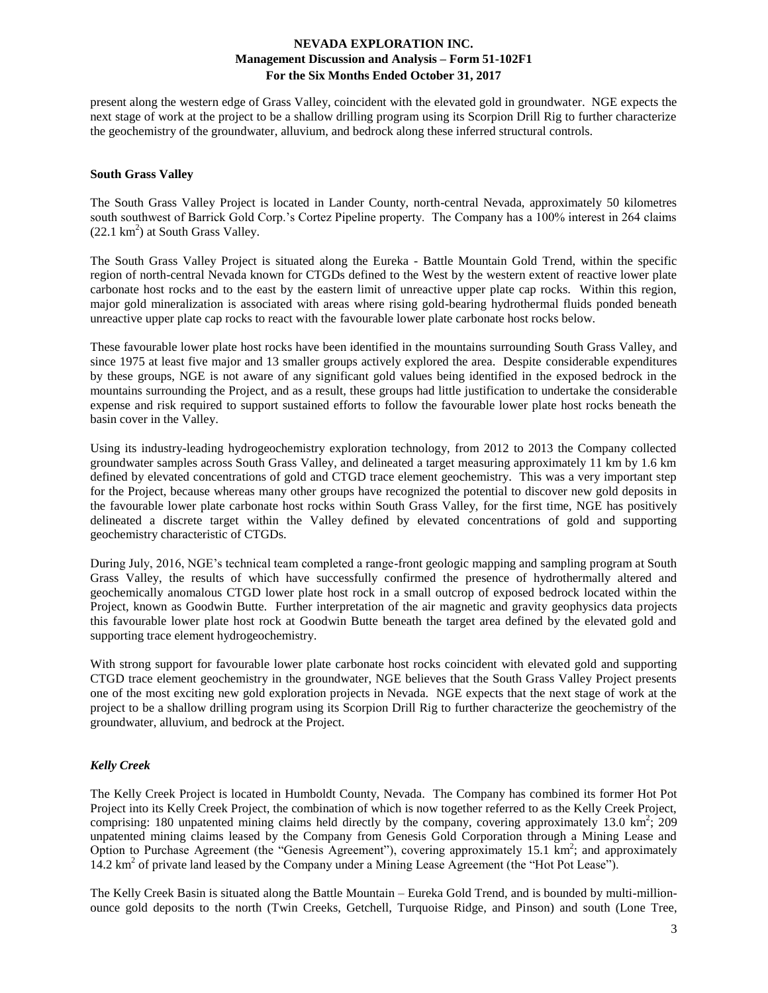present along the western edge of Grass Valley, coincident with the elevated gold in groundwater. NGE expects the next stage of work at the project to be a shallow drilling program using its Scorpion Drill Rig to further characterize the geochemistry of the groundwater, alluvium, and bedrock along these inferred structural controls.

### **South Grass Valley**

The South Grass Valley Project is located in Lander County, north-central Nevada, approximately 50 kilometres south southwest of Barrick Gold Corp.'s Cortez Pipeline property. The Company has a 100% interest in 264 claims  $(22.1 \text{ km}^2)$  at South Grass Valley.

The South Grass Valley Project is situated along the Eureka - Battle Mountain Gold Trend, within the specific region of north-central Nevada known for CTGDs defined to the West by the western extent of reactive lower plate carbonate host rocks and to the east by the eastern limit of unreactive upper plate cap rocks. Within this region, major gold mineralization is associated with areas where rising gold-bearing hydrothermal fluids ponded beneath unreactive upper plate cap rocks to react with the favourable lower plate carbonate host rocks below.

These favourable lower plate host rocks have been identified in the mountains surrounding South Grass Valley, and since 1975 at least five major and 13 smaller groups actively explored the area. Despite considerable expenditures by these groups, NGE is not aware of any significant gold values being identified in the exposed bedrock in the mountains surrounding the Project, and as a result, these groups had little justification to undertake the considerable expense and risk required to support sustained efforts to follow the favourable lower plate host rocks beneath the basin cover in the Valley.

Using its industry-leading hydrogeochemistry exploration technology, from 2012 to 2013 the Company collected groundwater samples across South Grass Valley, and delineated a target measuring approximately 11 km by 1.6 km defined by elevated concentrations of gold and CTGD trace element geochemistry. This was a very important step for the Project, because whereas many other groups have recognized the potential to discover new gold deposits in the favourable lower plate carbonate host rocks within South Grass Valley, for the first time, NGE has positively delineated a discrete target within the Valley defined by elevated concentrations of gold and supporting geochemistry characteristic of CTGDs.

During July, 2016, NGE's technical team completed a range-front geologic mapping and sampling program at South Grass Valley, the results of which have successfully confirmed the presence of hydrothermally altered and geochemically anomalous CTGD lower plate host rock in a small outcrop of exposed bedrock located within the Project, known as Goodwin Butte. Further interpretation of the air magnetic and gravity geophysics data projects this favourable lower plate host rock at Goodwin Butte beneath the target area defined by the elevated gold and supporting trace element hydrogeochemistry.

With strong support for favourable lower plate carbonate host rocks coincident with elevated gold and supporting CTGD trace element geochemistry in the groundwater, NGE believes that the South Grass Valley Project presents one of the most exciting new gold exploration projects in Nevada. NGE expects that the next stage of work at the project to be a shallow drilling program using its Scorpion Drill Rig to further characterize the geochemistry of the groundwater, alluvium, and bedrock at the Project.

## *Kelly Creek*

The Kelly Creek Project is located in Humboldt County, Nevada. The Company has combined its former Hot Pot Project into its Kelly Creek Project, the combination of which is now together referred to as the Kelly Creek Project, comprising: 180 unpatented mining claims held directly by the company, covering approximately 13.0 km<sup>2</sup>; 209 unpatented mining claims leased by the Company from Genesis Gold Corporation through a Mining Lease and Option to Purchase Agreement (the "Genesis Agreement"), covering approximately 15.1  $\text{km}^2$ ; and approximately 14.2 km<sup>2</sup> of private land leased by the Company under a Mining Lease Agreement (the "Hot Pot Lease").

The Kelly Creek Basin is situated along the Battle Mountain – Eureka Gold Trend, and is bounded by multi-millionounce gold deposits to the north (Twin Creeks, Getchell, Turquoise Ridge, and Pinson) and south (Lone Tree,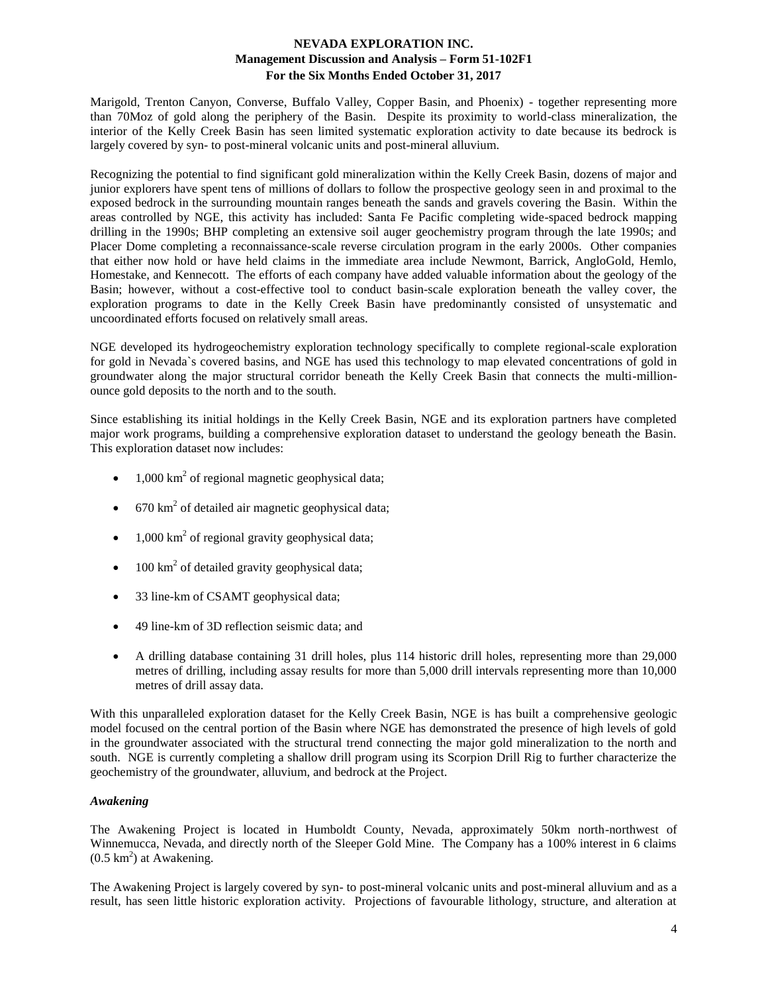Marigold, Trenton Canyon, Converse, Buffalo Valley, Copper Basin, and Phoenix) - together representing more than 70Moz of gold along the periphery of the Basin. Despite its proximity to world-class mineralization, the interior of the Kelly Creek Basin has seen limited systematic exploration activity to date because its bedrock is largely covered by syn- to post-mineral volcanic units and post-mineral alluvium.

Recognizing the potential to find significant gold mineralization within the Kelly Creek Basin, dozens of major and junior explorers have spent tens of millions of dollars to follow the prospective geology seen in and proximal to the exposed bedrock in the surrounding mountain ranges beneath the sands and gravels covering the Basin. Within the areas controlled by NGE, this activity has included: Santa Fe Pacific completing wide-spaced bedrock mapping drilling in the 1990s; BHP completing an extensive soil auger geochemistry program through the late 1990s; and Placer Dome completing a reconnaissance-scale reverse circulation program in the early 2000s. Other companies that either now hold or have held claims in the immediate area include Newmont, Barrick, AngloGold, Hemlo, Homestake, and Kennecott. The efforts of each company have added valuable information about the geology of the Basin; however, without a cost-effective tool to conduct basin-scale exploration beneath the valley cover, the exploration programs to date in the Kelly Creek Basin have predominantly consisted of unsystematic and uncoordinated efforts focused on relatively small areas.

NGE developed its hydrogeochemistry exploration technology specifically to complete regional-scale exploration for gold in Nevada`s covered basins, and NGE has used this technology to map elevated concentrations of gold in groundwater along the major structural corridor beneath the Kelly Creek Basin that connects the multi-millionounce gold deposits to the north and to the south.

Since establishing its initial holdings in the Kelly Creek Basin, NGE and its exploration partners have completed major work programs, building a comprehensive exploration dataset to understand the geology beneath the Basin. This exploration dataset now includes:

- $\bullet$  1,000 km<sup>2</sup> of regional magnetic geophysical data;
- 670 km<sup>2</sup> of detailed air magnetic geophysical data;
- $\bullet$  1,000 km<sup>2</sup> of regional gravity geophysical data;
- $\bullet$  100 km<sup>2</sup> of detailed gravity geophysical data;
- 33 line-km of CSAMT geophysical data;
- 49 line-km of 3D reflection seismic data; and
- A drilling database containing 31 drill holes, plus 114 historic drill holes, representing more than 29,000 metres of drilling, including assay results for more than 5,000 drill intervals representing more than 10,000 metres of drill assay data.

With this unparalleled exploration dataset for the Kelly Creek Basin, NGE is has built a comprehensive geologic model focused on the central portion of the Basin where NGE has demonstrated the presence of high levels of gold in the groundwater associated with the structural trend connecting the major gold mineralization to the north and south. NGE is currently completing a shallow drill program using its Scorpion Drill Rig to further characterize the geochemistry of the groundwater, alluvium, and bedrock at the Project.

## *Awakening*

The Awakening Project is located in Humboldt County, Nevada, approximately 50km north-northwest of Winnemucca, Nevada, and directly north of the Sleeper Gold Mine. The Company has a 100% interest in 6 claims  $(0.5 \text{ km}^2)$  at Awakening.

The Awakening Project is largely covered by syn- to post-mineral volcanic units and post-mineral alluvium and as a result, has seen little historic exploration activity. Projections of favourable lithology, structure, and alteration at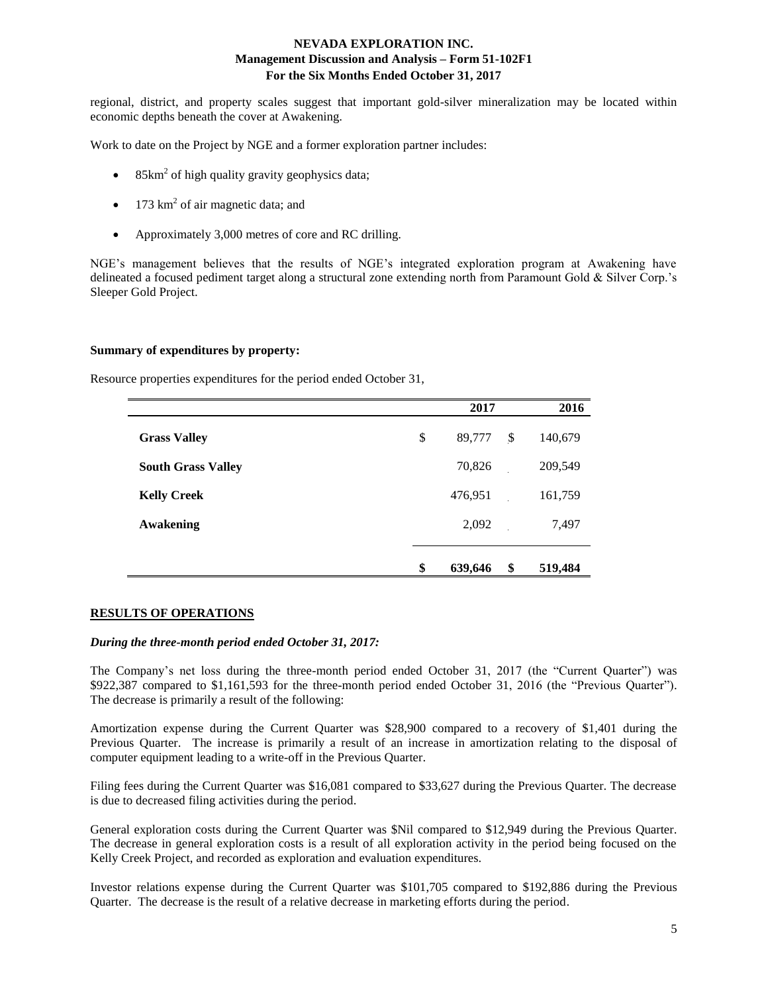regional, district, and property scales suggest that important gold-silver mineralization may be located within economic depths beneath the cover at Awakening.

Work to date on the Project by NGE and a former exploration partner includes:

- 85km<sup>2</sup> of high quality gravity geophysics data;
- 173 km<sup>2</sup> of air magnetic data; and
- Approximately 3,000 metres of core and RC drilling.

NGE's management believes that the results of NGE's integrated exploration program at Awakening have delineated a focused pediment target along a structural zone extending north from Paramount Gold & Silver Corp.'s Sleeper Gold Project.

### **Summary of expenditures by property:**

Resource properties expenditures for the period ended October 31,

|                           | 2017          | 2016                      |         |
|---------------------------|---------------|---------------------------|---------|
| <b>Grass Valley</b>       | \$<br>89,777  | $\boldsymbol{\mathsf{S}}$ | 140,679 |
| <b>South Grass Valley</b> | 70,826        |                           | 209,549 |
| <b>Kelly Creek</b>        | 476,951       |                           | 161,759 |
| <b>Awakening</b>          | 2,092         |                           | 7,497   |
|                           |               |                           |         |
|                           | \$<br>639,646 | \$                        | 519,484 |

### **RESULTS OF OPERATIONS**

### *During the three-month period ended October 31, 2017:*

The Company's net loss during the three-month period ended October 31, 2017 (the "Current Quarter") was \$922,387 compared to \$1,161,593 for the three-month period ended October 31, 2016 (the "Previous Quarter"). The decrease is primarily a result of the following:

Amortization expense during the Current Quarter was \$28,900 compared to a recovery of \$1,401 during the Previous Quarter. The increase is primarily a result of an increase in amortization relating to the disposal of computer equipment leading to a write-off in the Previous Quarter.

Filing fees during the Current Quarter was \$16,081 compared to \$33,627 during the Previous Quarter. The decrease is due to decreased filing activities during the period.

General exploration costs during the Current Quarter was \$Nil compared to \$12,949 during the Previous Quarter. The decrease in general exploration costs is a result of all exploration activity in the period being focused on the Kelly Creek Project, and recorded as exploration and evaluation expenditures.

Investor relations expense during the Current Quarter was \$101,705 compared to \$192,886 during the Previous Quarter. The decrease is the result of a relative decrease in marketing efforts during the period.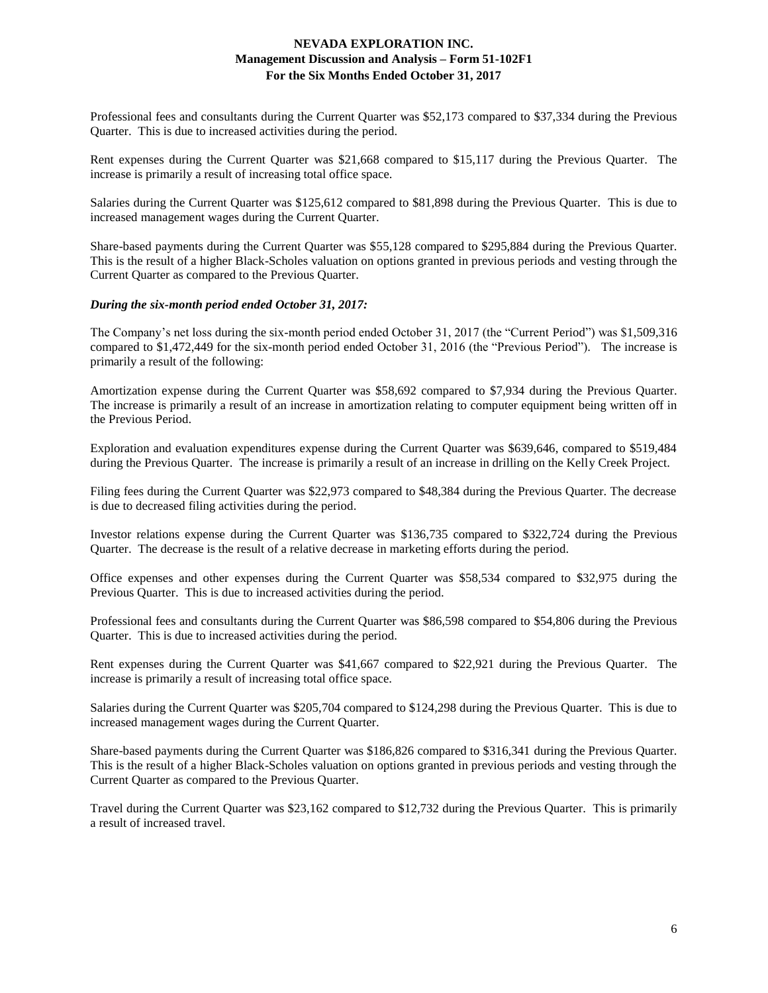Professional fees and consultants during the Current Quarter was \$52,173 compared to \$37,334 during the Previous Quarter. This is due to increased activities during the period.

Rent expenses during the Current Quarter was \$21,668 compared to \$15,117 during the Previous Quarter. The increase is primarily a result of increasing total office space.

Salaries during the Current Quarter was \$125,612 compared to \$81,898 during the Previous Quarter. This is due to increased management wages during the Current Quarter.

Share-based payments during the Current Quarter was \$55,128 compared to \$295,884 during the Previous Quarter. This is the result of a higher Black-Scholes valuation on options granted in previous periods and vesting through the Current Quarter as compared to the Previous Quarter.

### *During the six-month period ended October 31, 2017:*

The Company's net loss during the six-month period ended October 31, 2017 (the "Current Period") was \$1,509,316 compared to \$1,472,449 for the six-month period ended October 31, 2016 (the "Previous Period"). The increase is primarily a result of the following:

Amortization expense during the Current Quarter was \$58,692 compared to \$7,934 during the Previous Quarter. The increase is primarily a result of an increase in amortization relating to computer equipment being written off in the Previous Period.

Exploration and evaluation expenditures expense during the Current Quarter was \$639,646, compared to \$519,484 during the Previous Quarter. The increase is primarily a result of an increase in drilling on the Kelly Creek Project.

Filing fees during the Current Quarter was \$22,973 compared to \$48,384 during the Previous Quarter. The decrease is due to decreased filing activities during the period.

Investor relations expense during the Current Quarter was \$136,735 compared to \$322,724 during the Previous Quarter. The decrease is the result of a relative decrease in marketing efforts during the period.

Office expenses and other expenses during the Current Quarter was \$58,534 compared to \$32,975 during the Previous Quarter. This is due to increased activities during the period.

Professional fees and consultants during the Current Quarter was \$86,598 compared to \$54,806 during the Previous Quarter. This is due to increased activities during the period.

Rent expenses during the Current Quarter was \$41,667 compared to \$22,921 during the Previous Quarter. The increase is primarily a result of increasing total office space.

Salaries during the Current Quarter was \$205,704 compared to \$124,298 during the Previous Quarter. This is due to increased management wages during the Current Quarter.

Share-based payments during the Current Quarter was \$186,826 compared to \$316,341 during the Previous Quarter. This is the result of a higher Black-Scholes valuation on options granted in previous periods and vesting through the Current Quarter as compared to the Previous Quarter.

Travel during the Current Quarter was \$23,162 compared to \$12,732 during the Previous Quarter. This is primarily a result of increased travel.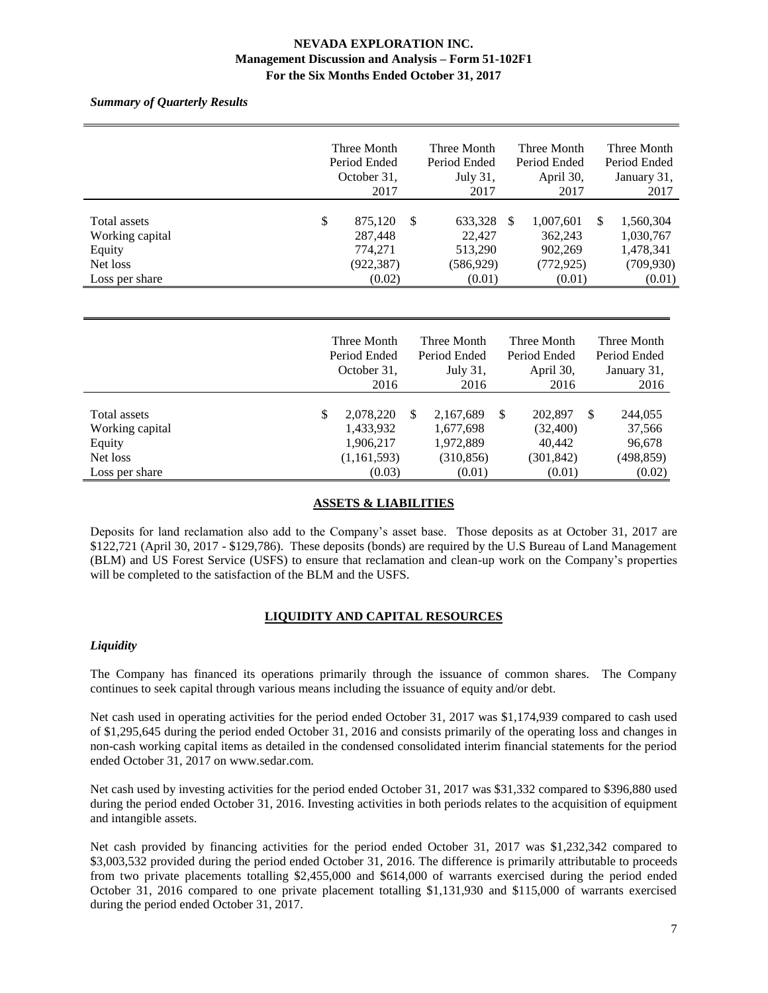*Summary of Quarterly Results*

|                                                                         | Three Month<br>Period Ended<br>October 31,<br>2017          |   | Three Month<br>Period Ended<br>July 31,<br>2017     |    | Three Month<br>Period Ended<br>April 30,<br>2017        |     | Three Month<br>Period Ended<br>January 31,<br>2017          |
|-------------------------------------------------------------------------|-------------------------------------------------------------|---|-----------------------------------------------------|----|---------------------------------------------------------|-----|-------------------------------------------------------------|
| Total assets<br>Working capital<br>Equity<br>Net loss<br>Loss per share | \$<br>875,120<br>287,448<br>774,271<br>(922, 387)<br>(0.02) | S | 633,328<br>22,427<br>513,290<br>(586,929)<br>(0.01) | -S | 1,007,601<br>362,243<br>902,269<br>(772, 925)<br>(0.01) | \$. | 1,560,304<br>1,030,767<br>1,478,341<br>(709, 930)<br>(0.01) |

|                                                       | Three Month<br>Period Ended<br>October 31,               | Three Month<br>Period Ended<br>July 31,                 |   | Three Month<br>Period Ended<br>April 30,    |   | Three Month<br>Period Ended<br>January 31, |
|-------------------------------------------------------|----------------------------------------------------------|---------------------------------------------------------|---|---------------------------------------------|---|--------------------------------------------|
|                                                       | 2016                                                     | 2016                                                    |   | 2016                                        |   | 2016                                       |
| Total assets<br>Working capital<br>Equity<br>Net loss | \$<br>2,078,220<br>1,433,932<br>1,906,217<br>(1,161,593) | \$<br>2,167,689<br>1,677,698<br>1,972,889<br>(310, 856) | S | 202,897<br>(32,400)<br>40,442<br>(301, 842) | S | 244,055<br>37,566<br>96,678<br>(498, 859)  |
| Loss per share                                        | (0.03)                                                   | (0.01)                                                  |   | (0.01)                                      |   | (0.02)                                     |

## **ASSETS & LIABILITIES**

Deposits for land reclamation also add to the Company's asset base. Those deposits as at October 31, 2017 are \$122,721 (April 30, 2017 - \$129,786). These deposits (bonds) are required by the U.S Bureau of Land Management (BLM) and US Forest Service (USFS) to ensure that reclamation and clean-up work on the Company's properties will be completed to the satisfaction of the BLM and the USFS.

## **LIQUIDITY AND CAPITAL RESOURCES**

### *Liquidity*

The Company has financed its operations primarily through the issuance of common shares. The Company continues to seek capital through various means including the issuance of equity and/or debt.

Net cash used in operating activities for the period ended October 31, 2017 was \$1,174,939 compared to cash used of \$1,295,645 during the period ended October 31, 2016 and consists primarily of the operating loss and changes in non-cash working capital items as detailed in the condensed consolidated interim financial statements for the period ended October 31, 2017 on www.sedar.com.

Net cash used by investing activities for the period ended October 31, 2017 was \$31,332 compared to \$396,880 used during the period ended October 31, 2016. Investing activities in both periods relates to the acquisition of equipment and intangible assets.

Net cash provided by financing activities for the period ended October 31, 2017 was \$1,232,342 compared to \$3,003,532 provided during the period ended October 31, 2016. The difference is primarily attributable to proceeds from two private placements totalling \$2,455,000 and \$614,000 of warrants exercised during the period ended October 31, 2016 compared to one private placement totalling \$1,131,930 and \$115,000 of warrants exercised during the period ended October 31, 2017.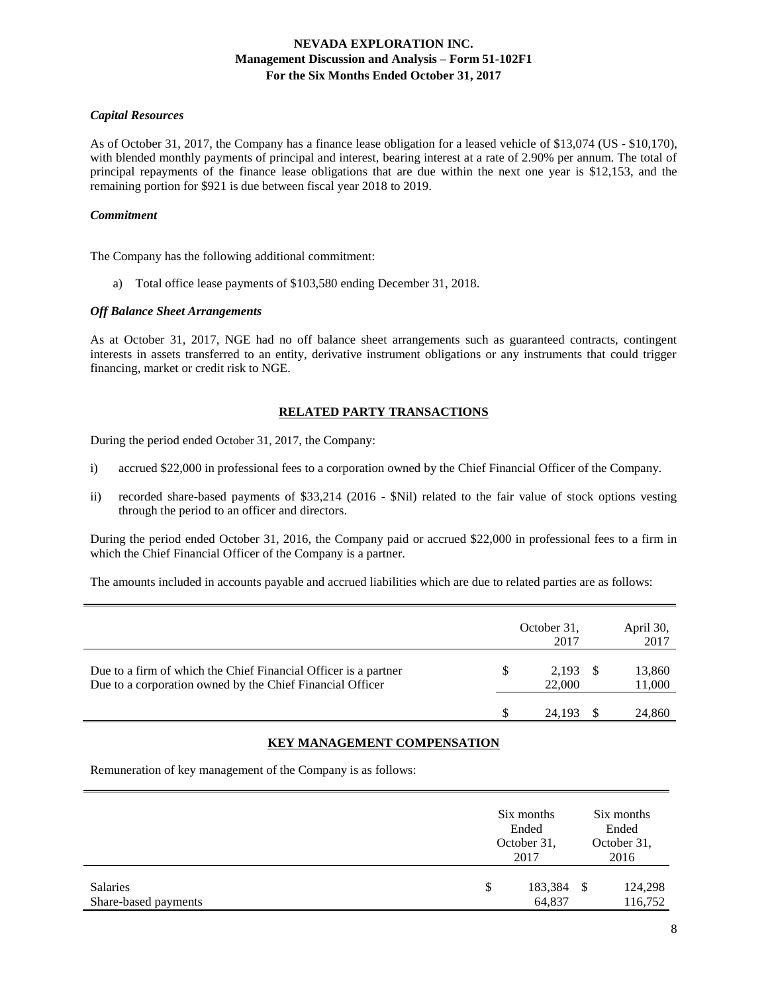### *Capital Resources*

As of October 31, 2017, the Company has a finance lease obligation for a leased vehicle of \$13,074 (US - \$10,170), with blended monthly payments of principal and interest, bearing interest at a rate of 2.90% per annum. The total of principal repayments of the finance lease obligations that are due within the next one year is \$12,153, and the remaining portion for \$921 is due between fiscal year 2018 to 2019.

### *Commitment*

The Company has the following additional commitment:

a) Total office lease payments of \$103,580 ending December 31, 2018.

### *Off Balance Sheet Arrangements*

As at October 31, 2017, NGE had no off balance sheet arrangements such as guaranteed contracts, contingent interests in assets transferred to an entity, derivative instrument obligations or any instruments that could trigger financing, market or credit risk to NGE.

### **RELATED PARTY TRANSACTIONS**

During the period ended October 31, 2017, the Company:

- i) accrued \$22,000 in professional fees to a corporation owned by the Chief Financial Officer of the Company.
- ii) recorded share-based payments of \$33,214 (2016 \$Nil) related to the fair value of stock options vesting through the period to an officer and directors.

During the period ended October 31, 2016, the Company paid or accrued \$22,000 in professional fees to a firm in which the Chief Financial Officer of the Company is a partner.

The amounts included in accounts payable and accrued liabilities which are due to related parties are as follows:

|                                                                                                                              | October 31,<br>2017 |    | April 30,<br>2017 |
|------------------------------------------------------------------------------------------------------------------------------|---------------------|----|-------------------|
| Due to a firm of which the Chief Financial Officer is a partner<br>Due to a corporation owned by the Chief Financial Officer | 2.193<br>22,000     | -S | 13,860<br>11,000  |
|                                                                                                                              | 24.193              |    | 24,860            |

# **KEY MANAGEMENT COMPENSATION**

Remuneration of key management of the Company is as follows:

|                                  |   | Six months<br>Ended<br>October 31,<br>2017 | Six months<br>Ended<br>October 31,<br>2016 |                    |
|----------------------------------|---|--------------------------------------------|--------------------------------------------|--------------------|
| Salaries<br>Share-based payments | S | 183,384<br>64,837                          | - \$                                       | 124,298<br>116,752 |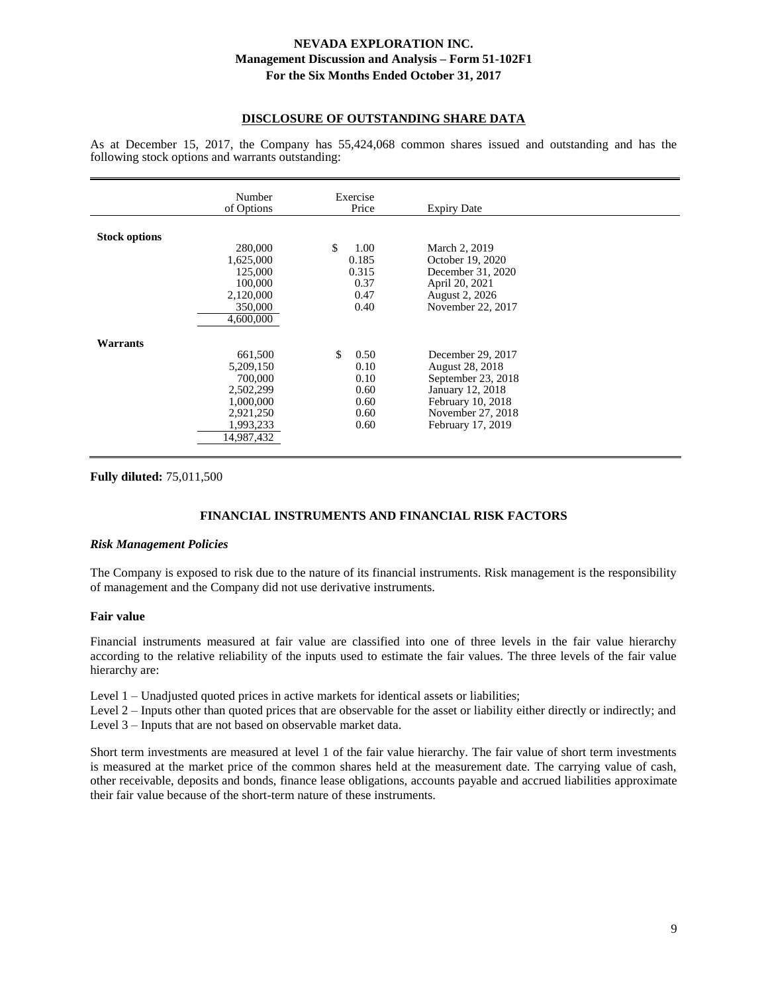### **DISCLOSURE OF OUTSTANDING SHARE DATA**

As at December 15, 2017, the Company has 55,424,068 common shares issued and outstanding and has the following stock options and warrants outstanding:

|                      | Number<br>of Options                                                                              | Exercise<br>Price                                          | <b>Expiry Date</b>                                                                                                                            |  |
|----------------------|---------------------------------------------------------------------------------------------------|------------------------------------------------------------|-----------------------------------------------------------------------------------------------------------------------------------------------|--|
| <b>Stock options</b> | 280,000<br>1,625,000<br>125,000<br>100,000<br>2,120,000<br>350,000<br>4,600,000                   | \$<br>1.00<br>0.185<br>0.315<br>0.37<br>0.47<br>0.40       | March 2, 2019<br>October 19, 2020<br>December 31, 2020<br>April 20, 2021<br>August 2, 2026<br>November 22, 2017                               |  |
| <b>Warrants</b>      | 661,500<br>5,209,150<br>700,000<br>2,502,299<br>1,000,000<br>2,921,250<br>1,993,233<br>14,987,432 | \$<br>0.50<br>0.10<br>0.10<br>0.60<br>0.60<br>0.60<br>0.60 | December 29, 2017<br>August 28, 2018<br>September 23, 2018<br>January 12, 2018<br>February 10, 2018<br>November 27, 2018<br>February 17, 2019 |  |

**Fully diluted:** 75,011,500

## **FINANCIAL INSTRUMENTS AND FINANCIAL RISK FACTORS**

### *Risk Management Policies*

The Company is exposed to risk due to the nature of its financial instruments. Risk management is the responsibility of management and the Company did not use derivative instruments.

### **Fair value**

Financial instruments measured at fair value are classified into one of three levels in the fair value hierarchy according to the relative reliability of the inputs used to estimate the fair values. The three levels of the fair value hierarchy are:

Level 1 – Unadjusted quoted prices in active markets for identical assets or liabilities;

Level 2 – Inputs other than quoted prices that are observable for the asset or liability either directly or indirectly; and Level 3 – Inputs that are not based on observable market data.

Short term investments are measured at level 1 of the fair value hierarchy. The fair value of short term investments is measured at the market price of the common shares held at the measurement date. The carrying value of cash, other receivable, deposits and bonds, finance lease obligations, accounts payable and accrued liabilities approximate their fair value because of the short-term nature of these instruments.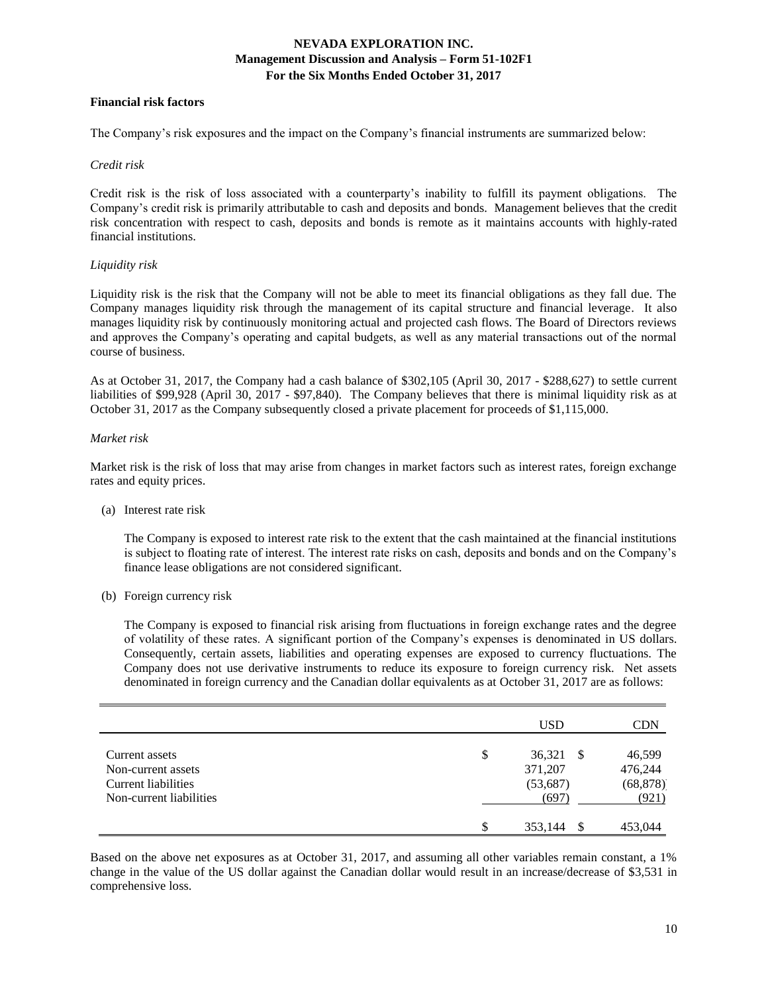### **Financial risk factors**

The Company's risk exposures and the impact on the Company's financial instruments are summarized below:

#### *Credit risk*

Credit risk is the risk of loss associated with a counterparty's inability to fulfill its payment obligations. The Company's credit risk is primarily attributable to cash and deposits and bonds. Management believes that the credit risk concentration with respect to cash, deposits and bonds is remote as it maintains accounts with highly-rated financial institutions.

### *Liquidity risk*

Liquidity risk is the risk that the Company will not be able to meet its financial obligations as they fall due. The Company manages liquidity risk through the management of its capital structure and financial leverage. It also manages liquidity risk by continuously monitoring actual and projected cash flows. The Board of Directors reviews and approves the Company's operating and capital budgets, as well as any material transactions out of the normal course of business.

As at October 31, 2017, the Company had a cash balance of \$302,105 (April 30, 2017 - \$288,627) to settle current liabilities of \$99,928 (April 30, 2017 - \$97,840). The Company believes that there is minimal liquidity risk as at October 31, 2017 as the Company subsequently closed a private placement for proceeds of \$1,115,000.

### *Market risk*

Market risk is the risk of loss that may arise from changes in market factors such as interest rates, foreign exchange rates and equity prices.

(a) Interest rate risk

The Company is exposed to interest rate risk to the extent that the cash maintained at the financial institutions is subject to floating rate of interest. The interest rate risks on cash, deposits and bonds and on the Company's finance lease obligations are not considered significant.

(b) Foreign currency risk

The Company is exposed to financial risk arising from fluctuations in foreign exchange rates and the degree of volatility of these rates. A significant portion of the Company's expenses is denominated in US dollars. Consequently, certain assets, liabilities and operating expenses are exposed to currency fluctuations. The Company does not use derivative instruments to reduce its exposure to foreign currency risk. Net assets denominated in foreign currency and the Canadian dollar equivalents as at October 31, 2017 are as follows:

|                                                                                        | <b>USD</b>                                    |    | CDN                                     |
|----------------------------------------------------------------------------------------|-----------------------------------------------|----|-----------------------------------------|
| Current assets<br>Non-current assets<br>Current liabilities<br>Non-current liabilities | \$<br>36,321<br>371,207<br>(53, 687)<br>(697) | -S | 46,599<br>476,244<br>(68, 878)<br>(921) |
|                                                                                        | \$<br>353,144                                 |    | 453,044                                 |

Based on the above net exposures as at October 31, 2017, and assuming all other variables remain constant, a 1% change in the value of the US dollar against the Canadian dollar would result in an increase/decrease of \$3,531 in comprehensive loss.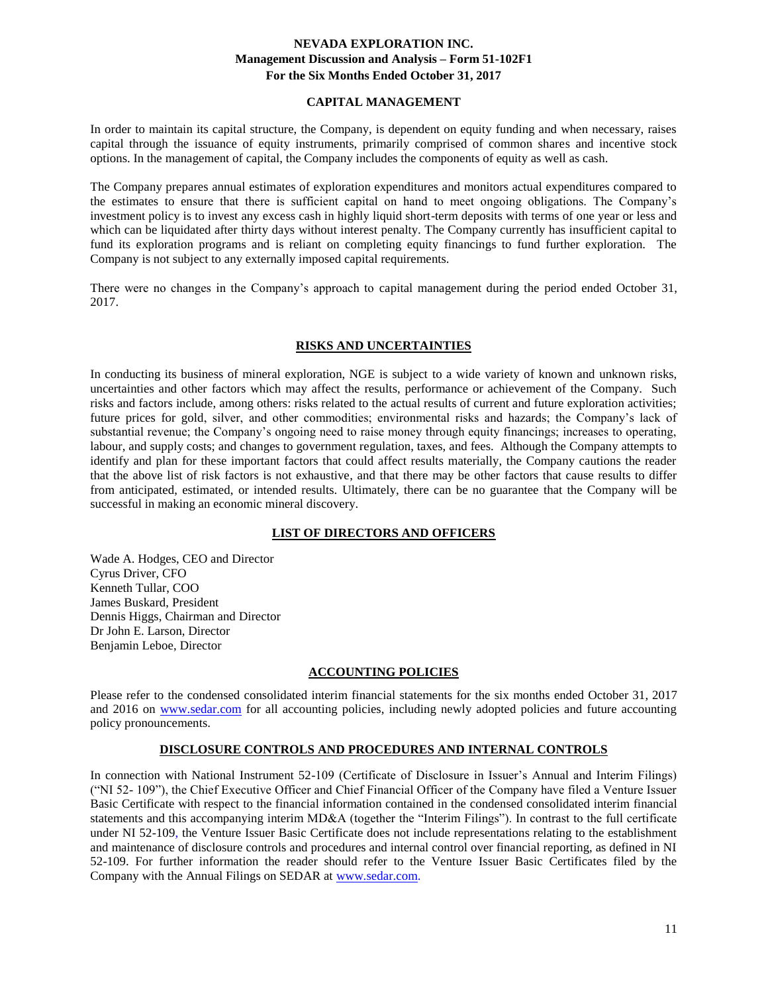### **CAPITAL MANAGEMENT**

In order to maintain its capital structure, the Company, is dependent on equity funding and when necessary, raises capital through the issuance of equity instruments, primarily comprised of common shares and incentive stock options. In the management of capital, the Company includes the components of equity as well as cash.

The Company prepares annual estimates of exploration expenditures and monitors actual expenditures compared to the estimates to ensure that there is sufficient capital on hand to meet ongoing obligations. The Company's investment policy is to invest any excess cash in highly liquid short-term deposits with terms of one year or less and which can be liquidated after thirty days without interest penalty. The Company currently has insufficient capital to fund its exploration programs and is reliant on completing equity financings to fund further exploration. The Company is not subject to any externally imposed capital requirements.

There were no changes in the Company's approach to capital management during the period ended October 31, 2017.

## **RISKS AND UNCERTAINTIES**

In conducting its business of mineral exploration, NGE is subject to a wide variety of known and unknown risks, uncertainties and other factors which may affect the results, performance or achievement of the Company. Such risks and factors include, among others: risks related to the actual results of current and future exploration activities; future prices for gold, silver, and other commodities; environmental risks and hazards; the Company's lack of substantial revenue; the Company's ongoing need to raise money through equity financings; increases to operating, labour, and supply costs; and changes to government regulation, taxes, and fees. Although the Company attempts to identify and plan for these important factors that could affect results materially, the Company cautions the reader that the above list of risk factors is not exhaustive, and that there may be other factors that cause results to differ from anticipated, estimated, or intended results. Ultimately, there can be no guarantee that the Company will be successful in making an economic mineral discovery.

# **LIST OF DIRECTORS AND OFFICERS**

Wade A. Hodges, CEO and Director Cyrus Driver, CFO Kenneth Tullar, COO James Buskard, President Dennis Higgs, Chairman and Director Dr John E. Larson, Director Benjamin Leboe, Director

## **ACCOUNTING POLICIES**

Please refer to the condensed consolidated interim financial statements for the six months ended October 31, 2017 and 2016 on [www.sedar.com](http://www.sedar.com/) for all accounting policies, including newly adopted policies and future accounting policy pronouncements.

## **DISCLOSURE CONTROLS AND PROCEDURES AND INTERNAL CONTROLS**

In connection with National Instrument 52-109 (Certificate of Disclosure in Issuer's Annual and Interim Filings) ("NI 52- 109"), the Chief Executive Officer and Chief Financial Officer of the Company have filed a Venture Issuer Basic Certificate with respect to the financial information contained in the condensed consolidated interim financial statements and this accompanying interim MD&A (together the "Interim Filings"). In contrast to the full certificate under NI 52-109, the Venture Issuer Basic Certificate does not include representations relating to the establishment and maintenance of disclosure controls and procedures and internal control over financial reporting, as defined in NI 52-109. For further information the reader should refer to the Venture Issuer Basic Certificates filed by the Company with the Annual Filings on SEDAR at [www.sedar.com.](http://www.sedar.com/)